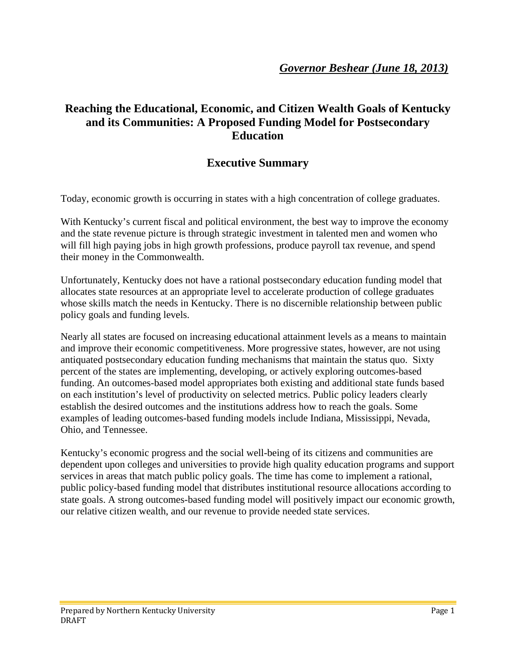# **Reaching the Educational, Economic, and Citizen Wealth Goals of Kentucky and its Communities: A Proposed Funding Model for Postsecondary Education**

# **Executive Summary**

Today, economic growth is occurring in states with a high concentration of college graduates.

With Kentucky's current fiscal and political environment, the best way to improve the economy and the state revenue picture is through strategic investment in talented men and women who will fill high paying jobs in high growth professions, produce payroll tax revenue, and spend their money in the Commonwealth.

Unfortunately, Kentucky does not have a rational postsecondary education funding model that allocates state resources at an appropriate level to accelerate production of college graduates whose skills match the needs in Kentucky. There is no discernible relationship between public policy goals and funding levels.

Nearly all states are focused on increasing educational attainment levels as a means to maintain and improve their economic competitiveness. More progressive states, however, are not using antiquated postsecondary education funding mechanisms that maintain the status quo. Sixty percent of the states are implementing, developing, or actively exploring outcomes-based funding. An outcomes-based model appropriates both existing and additional state funds based on each institution's level of productivity on selected metrics. Public policy leaders clearly establish the desired outcomes and the institutions address how to reach the goals. Some examples of leading outcomes-based funding models include Indiana, Mississippi, Nevada, Ohio, and Tennessee.

Kentucky's economic progress and the social well-being of its citizens and communities are dependent upon colleges and universities to provide high quality education programs and support services in areas that match public policy goals. The time has come to implement a rational, public policy-based funding model that distributes institutional resource allocations according to state goals. A strong outcomes-based funding model will positively impact our economic growth, our relative citizen wealth, and our revenue to provide needed state services.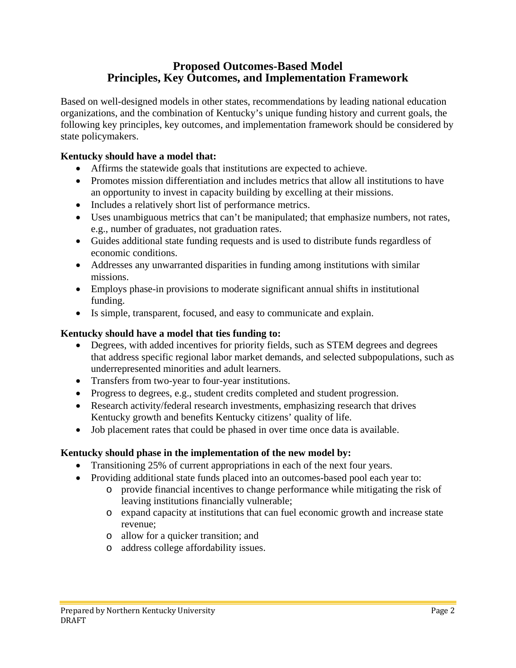## **Proposed Outcomes-Based Model Principles, Key Outcomes, and Implementation Framework**

Based on well-designed models in other states, recommendations by leading national education organizations, and the combination of Kentucky's unique funding history and current goals, the following key principles, key outcomes, and implementation framework should be considered by state policymakers.

### **Kentucky should have a model that:**

- Affirms the statewide goals that institutions are expected to achieve.
- Promotes mission differentiation and includes metrics that allow all institutions to have an opportunity to invest in capacity building by excelling at their missions.
- Includes a relatively short list of performance metrics.
- Uses unambiguous metrics that can't be manipulated; that emphasize numbers, not rates, e.g., number of graduates, not graduation rates.
- Guides additional state funding requests and is used to distribute funds regardless of economic conditions.
- Addresses any unwarranted disparities in funding among institutions with similar missions.
- Employs phase-in provisions to moderate significant annual shifts in institutional funding.
- Is simple, transparent, focused, and easy to communicate and explain.

### **Kentucky should have a model that ties funding to:**

- Degrees, with added incentives for priority fields, such as STEM degrees and degrees that address specific regional labor market demands, and selected subpopulations, such as underrepresented minorities and adult learners.
- Transfers from two-year to four-year institutions.
- Progress to degrees, e.g., student credits completed and student progression.
- Research activity/federal research investments, emphasizing research that drives Kentucky growth and benefits Kentucky citizens' quality of life.
- Job placement rates that could be phased in over time once data is available.

### **Kentucky should phase in the implementation of the new model by:**

- Transitioning 25% of current appropriations in each of the next four years.
- Providing additional state funds placed into an outcomes-based pool each year to:
	- o provide financial incentives to change performance while mitigating the risk of leaving institutions financially vulnerable;
	- o expand capacity at institutions that can fuel economic growth and increase state revenue;
	- o allow for a quicker transition; and
	- o address college affordability issues.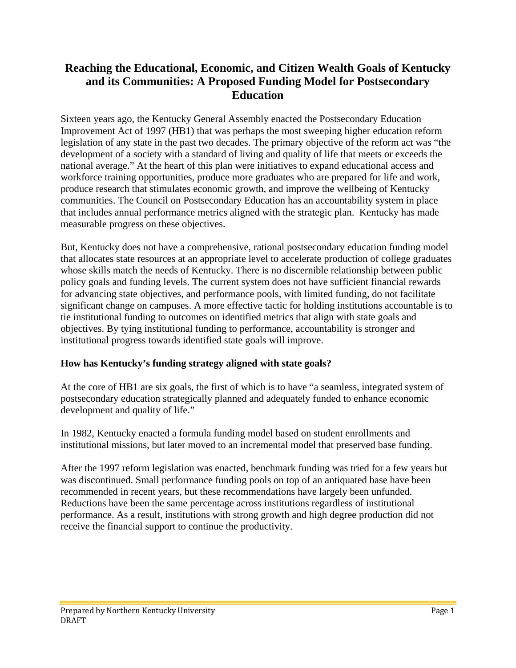# **Reaching the Educational, Economic, and Citizen Wealth Goals of Kentucky and its Communities: A Proposed Funding Model for Postsecondary Education**

Sixteen years ago, the Kentucky General Assembly enacted the Postsecondary Education Improvement Act of 1997 (HB1) that was perhaps the most sweeping higher education reform legislation of any state in the past two decades. The primary objective of the reform act was "the development of a society with a standard of living and quality of life that meets or exceeds the national average." At the heart of this plan were initiatives to expand educational access and workforce training opportunities, produce more graduates who are prepared for life and work, produce research that stimulates economic growth, and improve the wellbeing of Kentucky communities. The Council on Postsecondary Education has an accountability system in place that includes annual performance metrics aligned with the strategic plan. Kentucky has made measurable progress on these objectives.

But, Kentucky does not have a comprehensive, rational postsecondary education funding model that allocates state resources at an appropriate level to accelerate production of college graduates whose skills match the needs of Kentucky. There is no discernible relationship between public policy goals and funding levels. The current system does not have sufficient financial rewards for advancing state objectives, and performance pools, with limited funding, do not facilitate significant change on campuses. A more effective tactic for holding institutions accountable is to tie institutional funding to outcomes on identified metrics that align with state goals and objectives. By tying institutional funding to performance, accountability is stronger and institutional progress towards identified state goals will improve.

### **How has Kentucky's funding strategy aligned with state goals?**

At the core of HB1 are six goals, the first of which is to have "a seamless, integrated system of postsecondary education strategically planned and adequately funded to enhance economic development and quality of life."

In 1982, Kentucky enacted a formula funding model based on student enrollments and institutional missions, but later moved to an incremental model that preserved base funding.

After the 1997 reform legislation was enacted, benchmark funding was tried for a few years but was discontinued. Small performance funding pools on top of an antiquated base have been recommended in recent years, but these recommendations have largely been unfunded. Reductions have been the same percentage across institutions regardless of institutional performance. As a result, institutions with strong growth and high degree production did not receive the financial support to continue the productivity.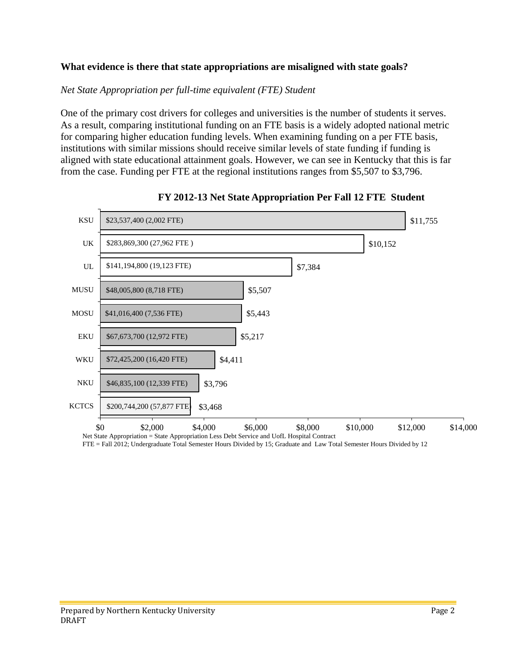### **What evidence is there that state appropriations are misaligned with state goals?**

#### *Net State Appropriation per full-time equivalent (FTE) Student*

One of the primary cost drivers for colleges and universities is the number of students it serves. As a result, comparing institutional funding on an FTE basis is a widely adopted national metric for comparing higher education funding levels. When examining funding on a per FTE basis, institutions with similar missions should receive similar levels of state funding if funding is aligned with state educational attainment goals. However, we can see in Kentucky that this is far from the case. Funding per FTE at the regional institutions ranges from \$5,507 to \$3,796.



#### **FY 2012-13 Net State Appropriation Per Fall 12 FTE Student**

FTE = Fall 2012; Undergraduate Total Semester Hours Divided by 15; Graduate and Law Total Semester Hours Divided by 12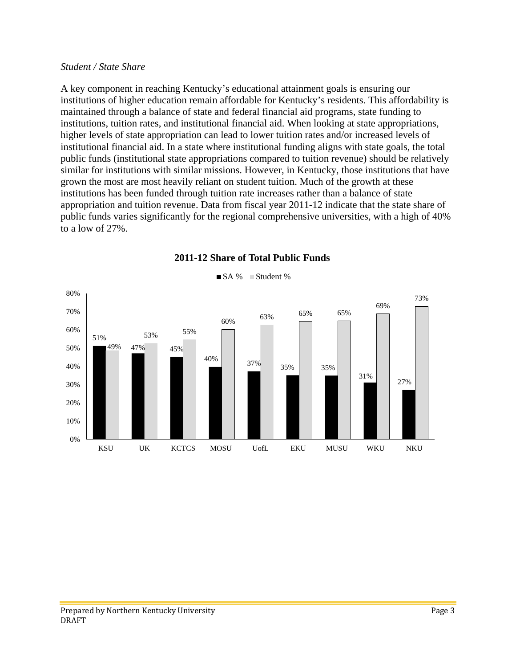#### *Student / State Share*

A key component in reaching Kentucky's educational attainment goals is ensuring our institutions of higher education remain affordable for Kentucky's residents. This affordability is maintained through a balance of state and federal financial aid programs, state funding to institutions, tuition rates, and institutional financial aid. When looking at state appropriations, higher levels of state appropriation can lead to lower tuition rates and/or increased levels of institutional financial aid. In a state where institutional funding aligns with state goals, the total public funds (institutional state appropriations compared to tuition revenue) should be relatively similar for institutions with similar missions. However, in Kentucky, those institutions that have grown the most are most heavily reliant on student tuition. Much of the growth at these institutions has been funded through tuition rate increases rather than a balance of state appropriation and tuition revenue. Data from fiscal year 2011-12 indicate that the state share of public funds varies significantly for the regional comprehensive universities, with a high of 40% to a low of 27%.



#### **2011-12 Share of Total Public Funds**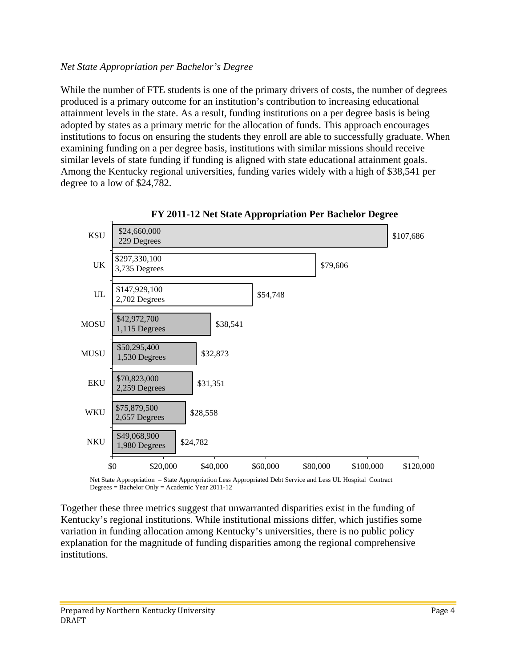### *Net State Appropriation per Bachelor's Degree*

While the number of FTE students is one of the primary drivers of costs, the number of degrees produced is a primary outcome for an institution's contribution to increasing educational attainment levels in the state. As a result, funding institutions on a per degree basis is being adopted by states as a primary metric for the allocation of funds. This approach encourages institutions to focus on ensuring the students they enroll are able to successfully graduate. When examining funding on a per degree basis, institutions with similar missions should receive similar levels of state funding if funding is aligned with state educational attainment goals. Among the Kentucky regional universities, funding varies widely with a high of \$38,541 per degree to a low of \$24,782.



**FY 2011-12 Net State Appropriation Per Bachelor Degree** 

Net State Appropriation = State Appropriation Less Appropriated Debt Service and Less UL Hospital Contract Degrees = Bachelor Only = Academic Year 2011-12

Together these three metrics suggest that unwarranted disparities exist in the funding of Kentucky's regional institutions. While institutional missions differ, which justifies some variation in funding allocation among Kentucky's universities, there is no public policy explanation for the magnitude of funding disparities among the regional comprehensive institutions.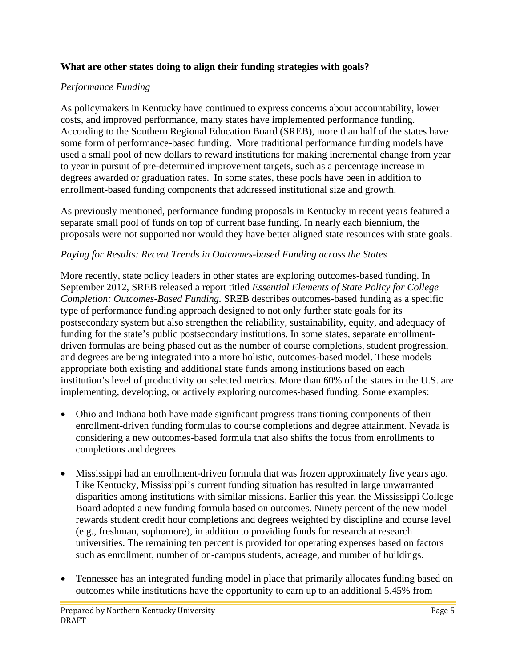### **What are other states doing to align their funding strategies with goals?**

### *Performance Funding*

As policymakers in Kentucky have continued to express concerns about accountability, lower costs, and improved performance, many states have implemented performance funding. According to the Southern Regional Education Board (SREB), more than half of the states have some form of performance-based funding. More traditional performance funding models have used a small pool of new dollars to reward institutions for making incremental change from year to year in pursuit of pre-determined improvement targets, such as a percentage increase in degrees awarded or graduation rates. In some states, these pools have been in addition to enrollment-based funding components that addressed institutional size and growth.

As previously mentioned, performance funding proposals in Kentucky in recent years featured a separate small pool of funds on top of current base funding. In nearly each biennium, the proposals were not supported nor would they have better aligned state resources with state goals.

### *Paying for Results: Recent Trends in Outcomes-based Funding across the States*

More recently, state policy leaders in other states are exploring outcomes-based funding. In September 2012, SREB released a report titled *Essential Elements of State Policy for College Completion: Outcomes-Based Funding.* SREB describes outcomes-based funding as a specific type of performance funding approach designed to not only further state goals for its postsecondary system but also strengthen the reliability, sustainability, equity, and adequacy of funding for the state's public postsecondary institutions. In some states, separate enrollmentdriven formulas are being phased out as the number of course completions, student progression, and degrees are being integrated into a more holistic, outcomes-based model. These models appropriate both existing and additional state funds among institutions based on each institution's level of productivity on selected metrics. More than 60% of the states in the U.S. are implementing, developing, or actively exploring outcomes-based funding. Some examples:

- Ohio and Indiana both have made significant progress transitioning components of their enrollment-driven funding formulas to course completions and degree attainment. Nevada is considering a new outcomes-based formula that also shifts the focus from enrollments to completions and degrees.
- Mississippi had an enrollment-driven formula that was frozen approximately five years ago. Like Kentucky, Mississippi's current funding situation has resulted in large unwarranted disparities among institutions with similar missions. Earlier this year, the Mississippi College Board adopted a new funding formula based on outcomes. Ninety percent of the new model rewards student credit hour completions and degrees weighted by discipline and course level (e.g., freshman, sophomore), in addition to providing funds for research at research universities. The remaining ten percent is provided for operating expenses based on factors such as enrollment, number of on-campus students, acreage, and number of buildings.
- Tennessee has an integrated funding model in place that primarily allocates funding based on outcomes while institutions have the opportunity to earn up to an additional 5.45% from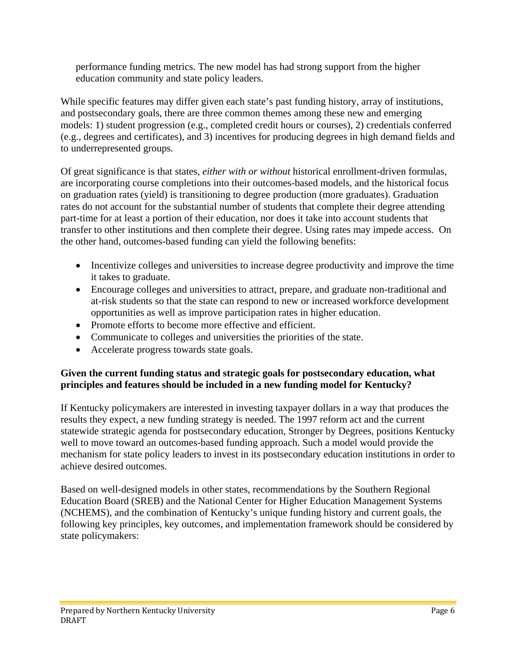performance funding metrics. The new model has had strong support from the higher education community and state policy leaders.

While specific features may differ given each state's past funding history, array of institutions, and postsecondary goals, there are three common themes among these new and emerging models: 1) student progression (e.g., completed credit hours or courses), 2) credentials conferred (e.g., degrees and certificates), and 3) incentives for producing degrees in high demand fields and to underrepresented groups.

Of great significance is that states, *either with or without* historical enrollment-driven formulas, are incorporating course completions into their outcomes-based models, and the historical focus on graduation rates (yield) is transitioning to degree production (more graduates). Graduation rates do not account for the substantial number of students that complete their degree attending part-time for at least a portion of their education, nor does it take into account students that transfer to other institutions and then complete their degree. Using rates may impede access. On the other hand, outcomes-based funding can yield the following benefits:

- Incentivize colleges and universities to increase degree productivity and improve the time it takes to graduate.
- Encourage colleges and universities to attract, prepare, and graduate non-traditional and at-risk students so that the state can respond to new or increased workforce development opportunities as well as improve participation rates in higher education.
- Promote efforts to become more effective and efficient.
- Communicate to colleges and universities the priorities of the state.
- Accelerate progress towards state goals.

### **Given the current funding status and strategic goals for postsecondary education, what principles and features should be included in a new funding model for Kentucky?**

If Kentucky policymakers are interested in investing taxpayer dollars in a way that produces the results they expect, a new funding strategy is needed. The 1997 reform act and the current statewide strategic agenda for postsecondary education, Stronger by Degrees, positions Kentucky well to move toward an outcomes-based funding approach. Such a model would provide the mechanism for state policy leaders to invest in its postsecondary education institutions in order to achieve desired outcomes.

Based on well-designed models in other states, recommendations by the Southern Regional Education Board (SREB) and the National Center for Higher Education Management Systems (NCHEMS), and the combination of Kentucky's unique funding history and current goals, the following key principles, key outcomes, and implementation framework should be considered by state policymakers: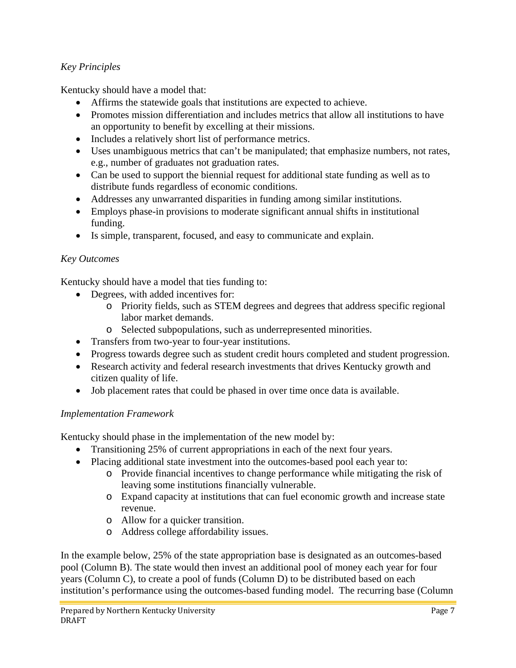## *Key Principles*

Kentucky should have a model that:

- Affirms the statewide goals that institutions are expected to achieve.
- Promotes mission differentiation and includes metrics that allow all institutions to have an opportunity to benefit by excelling at their missions.
- Includes a relatively short list of performance metrics.
- Uses unambiguous metrics that can't be manipulated; that emphasize numbers, not rates, e.g., number of graduates not graduation rates.
- Can be used to support the biennial request for additional state funding as well as to distribute funds regardless of economic conditions.
- Addresses any unwarranted disparities in funding among similar institutions.
- Employs phase-in provisions to moderate significant annual shifts in institutional funding.
- Is simple, transparent, focused, and easy to communicate and explain.

### *Key Outcomes*

Kentucky should have a model that ties funding to:

- Degrees, with added incentives for:
	- o Priority fields, such as STEM degrees and degrees that address specific regional labor market demands.
	- o Selected subpopulations, such as underrepresented minorities.
- Transfers from two-year to four-year institutions.
- Progress towards degree such as student credit hours completed and student progression.
- Research activity and federal research investments that drives Kentucky growth and citizen quality of life.
- Job placement rates that could be phased in over time once data is available.

### *Implementation Framework*

Kentucky should phase in the implementation of the new model by:

- Transitioning 25% of current appropriations in each of the next four years.
- Placing additional state investment into the outcomes-based pool each year to:
	- o Provide financial incentives to change performance while mitigating the risk of leaving some institutions financially vulnerable.
	- o Expand capacity at institutions that can fuel economic growth and increase state revenue.
	- o Allow for a quicker transition.
	- o Address college affordability issues.

In the example below, 25% of the state appropriation base is designated as an outcomes-based pool (Column B). The state would then invest an additional pool of money each year for four years (Column C), to create a pool of funds (Column D) to be distributed based on each institution's performance using the outcomes-based funding model. The recurring base (Column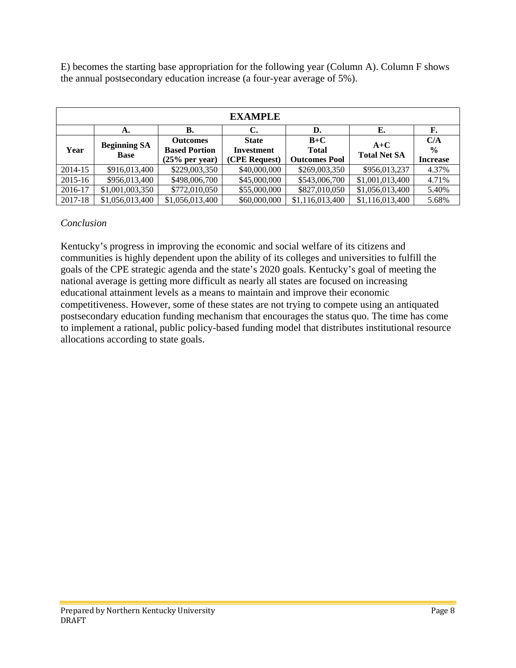E) becomes the starting base appropriation for the following year (Column A). Column F shows the annual postsecondary education increase (a four-year average of 5%).

| <b>EXAMPLE</b> |                                    |                      |                   |                      |                     |                 |  |  |  |
|----------------|------------------------------------|----------------------|-------------------|----------------------|---------------------|-----------------|--|--|--|
|                | А.                                 | В.                   | C.                | D.                   | E.                  | F.              |  |  |  |
| Year           | <b>Beginning SA</b><br><b>Base</b> | <b>Outcomes</b>      | <b>State</b>      | $B+C$                | $A+C$               | C/A             |  |  |  |
|                |                                    | <b>Based Portion</b> | <b>Investment</b> | <b>Total</b>         | <b>Total Net SA</b> | $\frac{0}{0}$   |  |  |  |
|                |                                    | $(25\%$ per year)    | (CPE Request)     | <b>Outcomes Pool</b> |                     | <b>Increase</b> |  |  |  |
| 2014-15        | \$916,013,400                      | \$229,003,350        | \$40,000,000      | \$269,003,350        | \$956,013,237       | 4.37%           |  |  |  |
| 2015-16        | \$956,013,400                      | \$498,006,700        | \$45,000,000      | \$543,006,700        | \$1,001,013,400     | 4.71%           |  |  |  |
| 2016-17        | \$1,001,003,350                    | \$772,010,050        | \$55,000,000      | \$827,010,050        | \$1,056,013,400     | 5.40%           |  |  |  |
| 2017-18        | \$1,056,013,400                    | \$1,056,013,400      | \$60,000,000      | \$1,116,013,400      | \$1,116,013,400     | 5.68%           |  |  |  |

### *Conclusion*

Kentucky's progress in improving the economic and social welfare of its citizens and communities is highly dependent upon the ability of its colleges and universities to fulfill the goals of the CPE strategic agenda and the state's 2020 goals. Kentucky's goal of meeting the national average is getting more difficult as nearly all states are focused on increasing educational attainment levels as a means to maintain and improve their economic competitiveness. However, some of these states are not trying to compete using an antiquated postsecondary education funding mechanism that encourages the status quo. The time has come to implement a rational, public policy-based funding model that distributes institutional resource allocations according to state goals.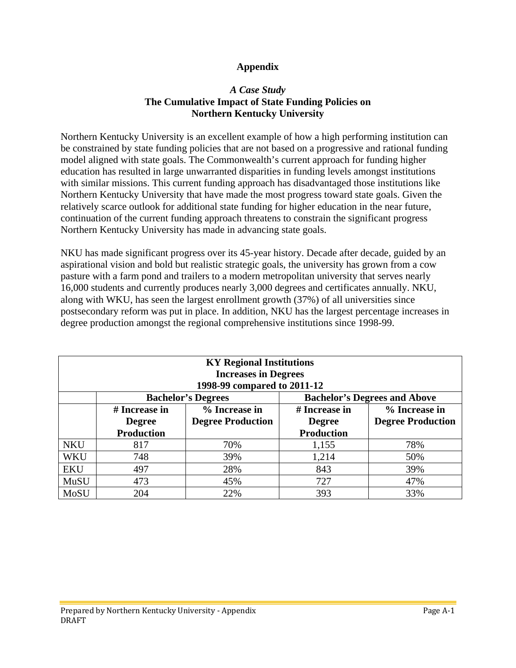### **Appendix**

### *A Case Study* **The Cumulative Impact of State Funding Policies on Northern Kentucky University**

Northern Kentucky University is an excellent example of how a high performing institution can be constrained by state funding policies that are not based on a progressive and rational funding model aligned with state goals. The Commonwealth's current approach for funding higher education has resulted in large unwarranted disparities in funding levels amongst institutions with similar missions. This current funding approach has disadvantaged those institutions like Northern Kentucky University that have made the most progress toward state goals. Given the relatively scarce outlook for additional state funding for higher education in the near future, continuation of the current funding approach threatens to constrain the significant progress Northern Kentucky University has made in advancing state goals.

NKU has made significant progress over its 45-year history. Decade after decade, guided by an aspirational vision and bold but realistic strategic goals, the university has grown from a cow pasture with a farm pond and trailers to a modern metropolitan university that serves nearly 16,000 students and currently produces nearly 3,000 degrees and certificates annually. NKU, along with WKU, has seen the largest enrollment growth (37%) of all universities since postsecondary reform was put in place. In addition, NKU has the largest percentage increases in degree production amongst the regional comprehensive institutions since 1998-99.

| <b>KY Regional Institutions</b> |                   |                           |                                     |                          |  |  |  |  |  |
|---------------------------------|-------------------|---------------------------|-------------------------------------|--------------------------|--|--|--|--|--|
| <b>Increases in Degrees</b>     |                   |                           |                                     |                          |  |  |  |  |  |
| 1998-99 compared to 2011-12     |                   |                           |                                     |                          |  |  |  |  |  |
|                                 |                   | <b>Bachelor's Degrees</b> | <b>Bachelor's Degrees and Above</b> |                          |  |  |  |  |  |
|                                 | # Increase in     | % Increase in             | # Increase in                       | % Increase in            |  |  |  |  |  |
|                                 | <b>Degree</b>     | <b>Degree Production</b>  | <b>Degree</b>                       | <b>Degree Production</b> |  |  |  |  |  |
|                                 | <b>Production</b> |                           | <b>Production</b>                   |                          |  |  |  |  |  |
| <b>NKU</b>                      | 817               | 70%                       | 1,155                               | 78%                      |  |  |  |  |  |
| <b>WKU</b>                      | 748               | 39%                       | 1,214                               | 50%                      |  |  |  |  |  |
| <b>EKU</b>                      | 497               | 28%                       | 843                                 | 39%                      |  |  |  |  |  |
| MuSU                            | 473               | 45%                       | 727                                 | 47%                      |  |  |  |  |  |
| MoSU                            | 204               | 22%                       | 393                                 | 33%                      |  |  |  |  |  |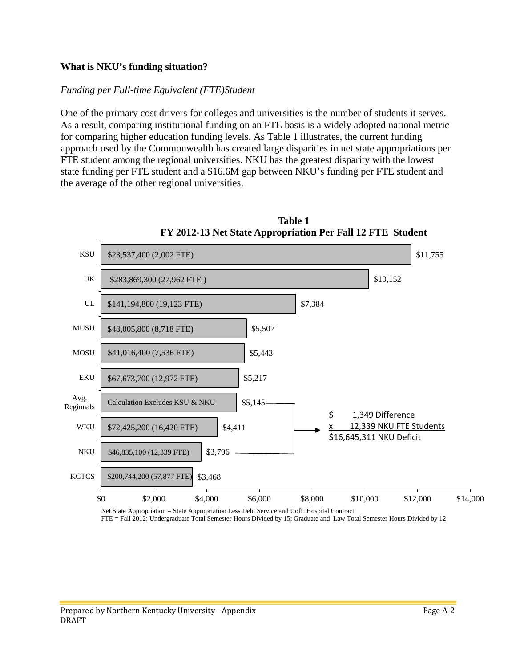### **What is NKU's funding situation?**

#### *Funding per Full-time Equivalent (FTE)Student*

One of the primary cost drivers for colleges and universities is the number of students it serves. As a result, comparing institutional funding on an FTE basis is a widely adopted national metric for comparing higher education funding levels. As Table 1 illustrates, the current funding approach used by the Commonwealth has created large disparities in net state appropriations per FTE student among the regional universities. NKU has the greatest disparity with the lowest state funding per FTE student and a \$16.6M gap between NKU's funding per FTE student and the average of the other regional universities.



**Table 1 FY 2012-13 Net State Appropriation Per Fall 12 FTE Student** 

Net State Appropriation = State Appropriation Less Debt Service and UofL Hospital Contract FTE = Fall 2012; Undergraduate Total Semester Hours Divided by 15; Graduate and Law Total Semester Hours Divided by 12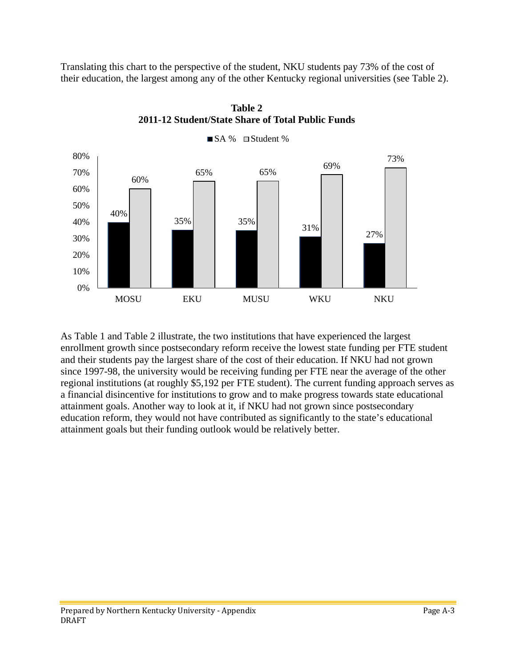Translating this chart to the perspective of the student, NKU students pay 73% of the cost of their education, the largest among any of the other Kentucky regional universities (see Table 2).



**Table 2 2011-12 Student/State Share of Total Public Funds**

As Table 1 and Table 2 illustrate, the two institutions that have experienced the largest enrollment growth since postsecondary reform receive the lowest state funding per FTE student and their students pay the largest share of the cost of their education. If NKU had not grown since 1997-98, the university would be receiving funding per FTE near the average of the other regional institutions (at roughly \$5,192 per FTE student). The current funding approach serves as a financial disincentive for institutions to grow and to make progress towards state educational attainment goals. Another way to look at it, if NKU had not grown since postsecondary education reform, they would not have contributed as significantly to the state's educational attainment goals but their funding outlook would be relatively better.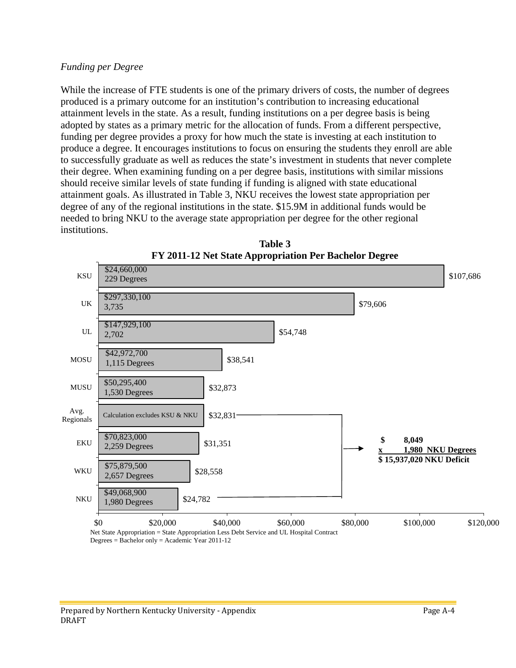### *Funding per Degree*

While the increase of FTE students is one of the primary drivers of costs, the number of degrees produced is a primary outcome for an institution's contribution to increasing educational attainment levels in the state. As a result, funding institutions on a per degree basis is being adopted by states as a primary metric for the allocation of funds. From a different perspective, funding per degree provides a proxy for how much the state is investing at each institution to produce a degree. It encourages institutions to focus on ensuring the students they enroll are able to successfully graduate as well as reduces the state's investment in students that never complete their degree. When examining funding on a per degree basis, institutions with similar missions should receive similar levels of state funding if funding is aligned with state educational attainment goals. As illustrated in Table 3, NKU receives the lowest state appropriation per degree of any of the regional institutions in the state. \$15.9M in additional funds would be needed to bring NKU to the average state appropriation per degree for the other regional institutions.



**Table 3 FY 2011-12 Net State Appropriation Per Bachelor Degree**

Degrees = Bachelor only = Academic Year 2011-12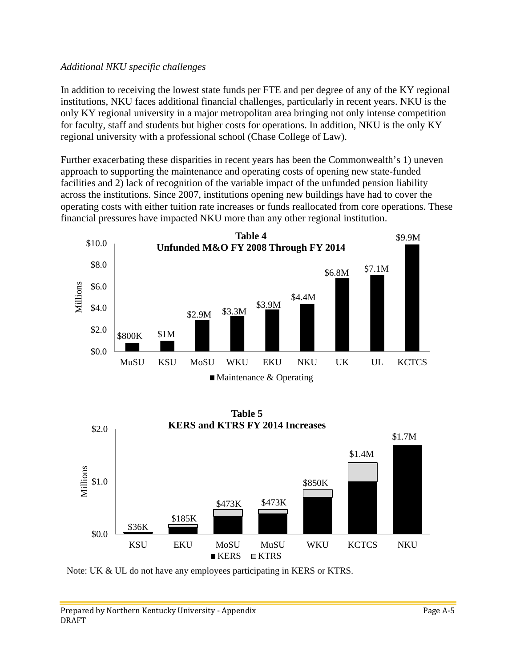### *Additional NKU specific challenges*

In addition to receiving the lowest state funds per FTE and per degree of any of the KY regional institutions, NKU faces additional financial challenges, particularly in recent years. NKU is the only KY regional university in a major metropolitan area bringing not only intense competition for faculty, staff and students but higher costs for operations. In addition, NKU is the only KY regional university with a professional school (Chase College of Law).

Further exacerbating these disparities in recent years has been the Commonwealth's 1) uneven approach to supporting the maintenance and operating costs of opening new state-funded facilities and 2) lack of recognition of the variable impact of the unfunded pension liability across the institutions. Since 2007, institutions opening new buildings have had to cover the operating costs with either tuition rate increases or funds reallocated from core operations. These financial pressures have impacted NKU more than any other regional institution.





Note: UK & UL do not have any employees participating in KERS or KTRS.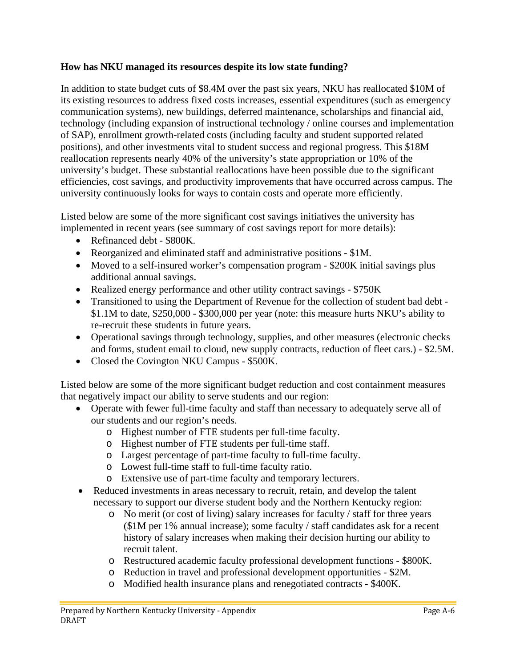### **How has NKU managed its resources despite its low state funding?**

In addition to state budget cuts of \$8.4M over the past six years, NKU has reallocated \$10M of its existing resources to address fixed costs increases, essential expenditures (such as emergency communication systems), new buildings, deferred maintenance, scholarships and financial aid, technology (including expansion of instructional technology / online courses and implementation of SAP), enrollment growth-related costs (including faculty and student supported related positions), and other investments vital to student success and regional progress. This \$18M reallocation represents nearly 40% of the university's state appropriation or 10% of the university's budget. These substantial reallocations have been possible due to the significant efficiencies, cost savings, and productivity improvements that have occurred across campus. The university continuously looks for ways to contain costs and operate more efficiently.

Listed below are some of the more significant cost savings initiatives the university has implemented in recent years (see summary of cost savings report for more details):

- Refinanced debt \$800K.
- Reorganized and eliminated staff and administrative positions \$1M.
- Moved to a self-insured worker's compensation program \$200K initial savings plus additional annual savings.
- Realized energy performance and other utility contract savings \$750K
- Transitioned to using the Department of Revenue for the collection of student bad debt -\$1.1M to date, \$250,000 - \$300,000 per year (note: this measure hurts NKU's ability to re-recruit these students in future years.
- Operational savings through technology, supplies, and other measures (electronic checks and forms, student email to cloud, new supply contracts, reduction of fleet cars.) - \$2.5M.
- Closed the Covington NKU Campus \$500K.

Listed below are some of the more significant budget reduction and cost containment measures that negatively impact our ability to serve students and our region:

- Operate with fewer full-time faculty and staff than necessary to adequately serve all of our students and our region's needs.
	- o Highest number of FTE students per full-time faculty.
	- o Highest number of FTE students per full-time staff.
	- o Largest percentage of part-time faculty to full-time faculty.
	- o Lowest full-time staff to full-time faculty ratio.
	- o Extensive use of part-time faculty and temporary lecturers.
- Reduced investments in areas necessary to recruit, retain, and develop the talent necessary to support our diverse student body and the Northern Kentucky region:
	- o No merit (or cost of living) salary increases for faculty / staff for three years (\$1M per 1% annual increase); some faculty / staff candidates ask for a recent history of salary increases when making their decision hurting our ability to recruit talent.
	- o Restructured academic faculty professional development functions \$800K.
	- o Reduction in travel and professional development opportunities \$2M.
	- o Modified health insurance plans and renegotiated contracts \$400K.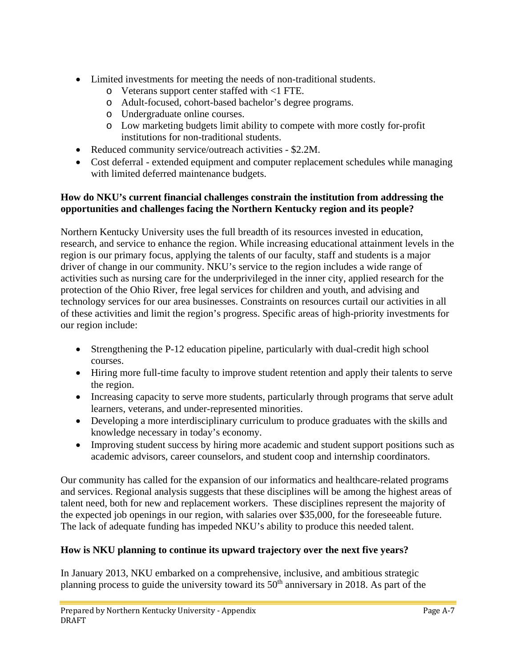- Limited investments for meeting the needs of non-traditional students.
	- o Veterans support center staffed with <1 FTE.
	- o Adult-focused, cohort-based bachelor's degree programs.
	- o Undergraduate online courses.
	- o Low marketing budgets limit ability to compete with more costly for-profit institutions for non-traditional students.
- Reduced community service/outreach activities \$2.2M.
- Cost deferral extended equipment and computer replacement schedules while managing with limited deferred maintenance budgets.

### **How do NKU's current financial challenges constrain the institution from addressing the opportunities and challenges facing the Northern Kentucky region and its people?**

Northern Kentucky University uses the full breadth of its resources invested in education, research, and service to enhance the region. While increasing educational attainment levels in the region is our primary focus, applying the talents of our faculty, staff and students is a major driver of change in our community. NKU's service to the region includes a wide range of activities such as nursing care for the underprivileged in the inner city, applied research for the protection of the Ohio River, free legal services for children and youth, and advising and technology services for our area businesses. Constraints on resources curtail our activities in all of these activities and limit the region's progress. Specific areas of high-priority investments for our region include:

- Strengthening the P-12 education pipeline, particularly with dual-credit high school courses.
- Hiring more full-time faculty to improve student retention and apply their talents to serve the region.
- Increasing capacity to serve more students, particularly through programs that serve adult learners, veterans, and under-represented minorities.
- Developing a more interdisciplinary curriculum to produce graduates with the skills and knowledge necessary in today's economy.
- Improving student success by hiring more academic and student support positions such as academic advisors, career counselors, and student coop and internship coordinators.

Our community has called for the expansion of our informatics and healthcare-related programs and services. Regional analysis suggests that these disciplines will be among the highest areas of talent need, both for new and replacement workers. These disciplines represent the majority of the expected job openings in our region, with salaries over \$35,000, for the foreseeable future. The lack of adequate funding has impeded NKU's ability to produce this needed talent.

## **How is NKU planning to continue its upward trajectory over the next five years?**

In January 2013, NKU embarked on a comprehensive, inclusive, and ambitious strategic planning process to guide the university toward its  $50<sup>th</sup>$  anniversary in 2018. As part of the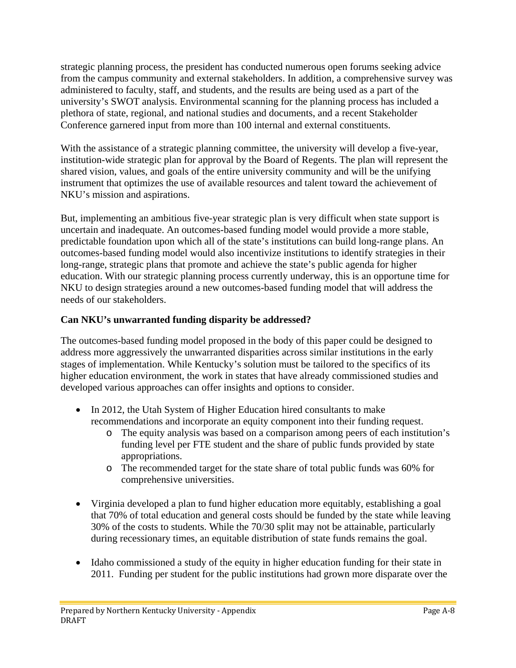strategic planning process, the president has conducted numerous open forums seeking advice from the campus community and external stakeholders. In addition, a comprehensive survey was administered to faculty, staff, and students, and the results are being used as a part of the university's SWOT analysis. Environmental scanning for the planning process has included a plethora of state, regional, and national studies and documents, and a recent Stakeholder Conference garnered input from more than 100 internal and external constituents.

With the assistance of a strategic planning committee, the university will develop a five-year, institution-wide strategic plan for approval by the Board of Regents. The plan will represent the shared vision, values, and goals of the entire university community and will be the unifying instrument that optimizes the use of available resources and talent toward the achievement of NKU's mission and aspirations.

But, implementing an ambitious five-year strategic plan is very difficult when state support is uncertain and inadequate. An outcomes-based funding model would provide a more stable, predictable foundation upon which all of the state's institutions can build long-range plans. An outcomes-based funding model would also incentivize institutions to identify strategies in their long-range, strategic plans that promote and achieve the state's public agenda for higher education. With our strategic planning process currently underway, this is an opportune time for NKU to design strategies around a new outcomes-based funding model that will address the needs of our stakeholders.

### **Can NKU's unwarranted funding disparity be addressed?**

The outcomes-based funding model proposed in the body of this paper could be designed to address more aggressively the unwarranted disparities across similar institutions in the early stages of implementation. While Kentucky's solution must be tailored to the specifics of its higher education environment, the work in states that have already commissioned studies and developed various approaches can offer insights and options to consider.

- In 2012, the Utah System of Higher Education hired consultants to make recommendations and incorporate an equity component into their funding request.
	- o The equity analysis was based on a comparison among peers of each institution's funding level per FTE student and the share of public funds provided by state appropriations.
	- o The recommended target for the state share of total public funds was 60% for comprehensive universities.
- Virginia developed a plan to fund higher education more equitably, establishing a goal that 70% of total education and general costs should be funded by the state while leaving 30% of the costs to students. While the 70/30 split may not be attainable, particularly during recessionary times, an equitable distribution of state funds remains the goal.
- Idaho commissioned a study of the equity in higher education funding for their state in 2011. Funding per student for the public institutions had grown more disparate over the